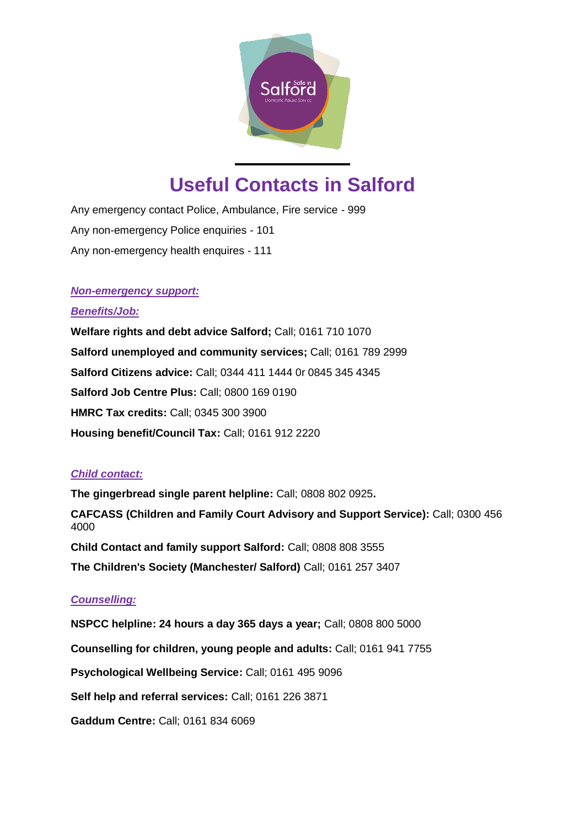

# **Useful Contacts in Salford**

Any emergency contact Police, Ambulance, Fire service - 999 Any non-emergency Police enquiries - 101 Any non-emergency health enquires - 111

## *Non-emergency support:*

## *Benefits/Job:*

**Welfare rights and debt advice Salford;** Call; 0161 710 1070 **Salford unemployed and community services;** Call; 0161 789 2999 **Salford Citizens advice:** Call; 0344 411 1444 0r 0845 345 4345 **Salford Job Centre Plus:** Call; 0800 169 0190 **HMRC Tax credits:** Call; 0345 300 3900 **Housing benefit/Council Tax:** Call; 0161 912 2220

# *Child contact:*

**The gingerbread single parent helpline:** Call; 0808 802 0925**. CAFCASS (Children and Family Court Advisory and Support Service):** Call; 0300 456 4000 **Child Contact and family support Salford:** Call; 0808 808 3555 **The Children's Society (Manchester/ Salford)** Call; 0161 257 3407

# *Counselling:*

**NSPCC helpline: 24 hours a day 365 days a year;** Call; 0808 800 5000 **Counselling for children, young people and adults:** Call; 0161 941 7755 **Psychological Wellbeing Service:** Call; 0161 495 9096 **Self help and referral services:** Call; 0161 226 3871 **Gaddum Centre:** Call; 0161 834 6069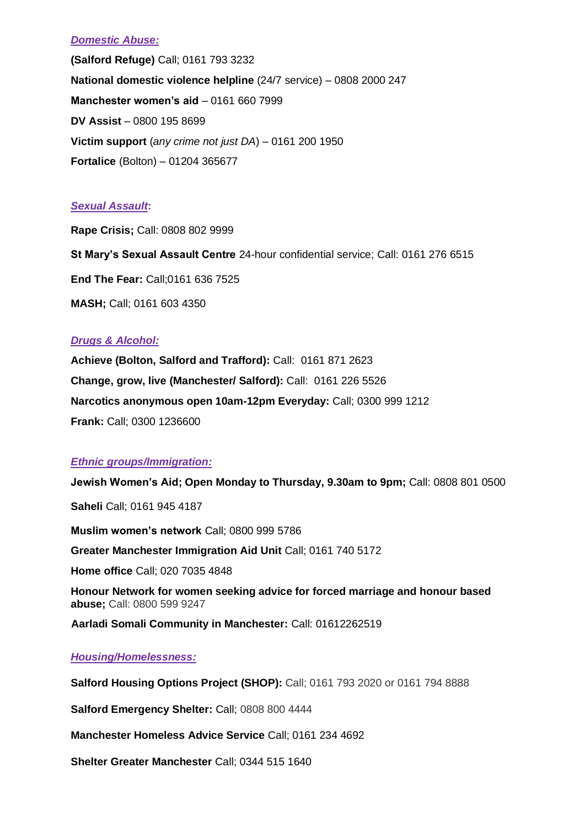## *Domestic Abuse:*

**(Salford Refuge)** Call; 0161 793 3232 **National domestic violence helpline** (24/7 service) – 0808 2000 247 **Manchester women's aid** – 0161 660 7999 **DV Assist** – 0800 195 8699 **Victim support** (*any crime not just DA*) – 0161 200 1950 **Fortalice** (Bolton) – 01204 365677

## *Sexual Assault***:**

**Rape Crisis;** Call: 0808 802 9999 **St Mary's Sexual Assault Centre** 24-hour confidential service; Call: 0161 276 6515 **End The Fear:** Call;0161 636 7525 **MASH;** Call; 0161 603 4350

## *Drugs & Alcohol:*

**Achieve (Bolton, Salford and Trafford):** Call: 0161 871 2623 **Change, grow, live (Manchester/ Salford):** Call: 0161 226 5526 **Narcotics anonymous open 10am-12pm Everyday:** Call; 0300 999 1212 **Frank:** Call; [0300 1236600](tel:03001236600)

# *Ethnic groups/Immigration:*

**Jewish Women's Aid; Open Monday to Thursday, 9.30am to 9pm;** Call: 0808 801 0500 **Saheli** Call; 0161 945 4187 **Muslim women's network** Call; 0800 999 5786 **Greater Manchester Immigration Aid Unit** Call; 0161 740 5172 **Home office** Call; 020 7035 4848 **Honour Network for women seeking advice for forced marriage and honour based abuse;** Call: 0800 599 9247 **Aarladi Somali Community in Manchester:** Call: 01612262519

# *Housing/Homelessness:*

**Salford Housing Options Project (SHOP):** Call; 0161 793 2020 or 0161 794 8888

**Salford Emergency Shelter:** Call; 0808 800 4444

**Manchester Homeless Advice Service** Call; 0161 234 4692

**Shelter Greater Manchester** Call; 0344 515 1640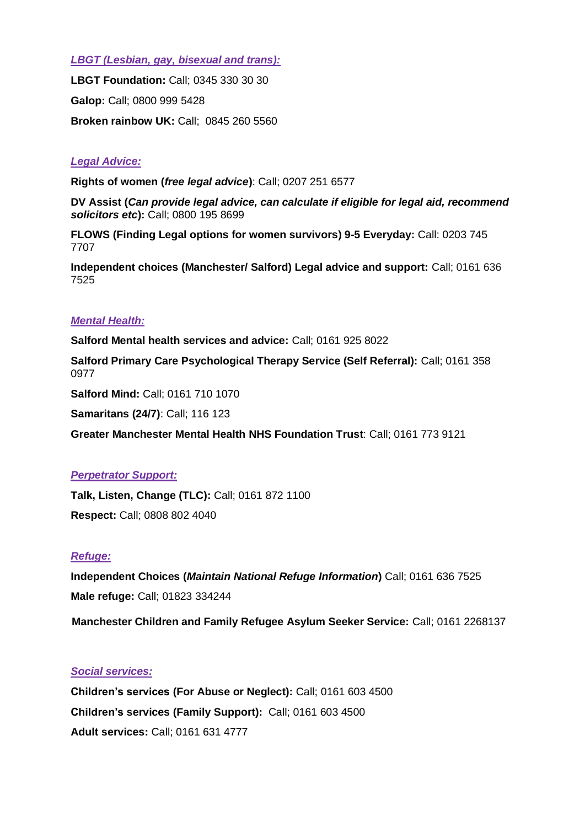*LBGT (Lesbian, gay, bisexual and trans):*

**LBGT Foundation:** Call; 0345 330 30 30 **Galop:** Call; 0800 999 5428 **Broken rainbow UK:** Call; 0845 260 5560

## *Legal Advice:*

**Rights of women (***free legal advice***)**: Call; 0207 251 6577

**DV Assist (***Can provide legal advice, can calculate if eligible for legal aid, recommend solicitors etc***):** Call; 0800 195 8699

**FLOWS (Finding Legal options for women survivors) 9-5 Everyday:** Call: 0203 745 7707

**Independent choices (Manchester/ Salford) Legal advice and support:** Call; 0161 636 7525

## *Mental Health:*

**Salford Mental health services and advice:** Call; 0161 925 8022

**Salford Primary Care Psychological Therapy Service (Self Referral):** Call; 0161 358 0977

**Salford Mind:** Call; 0161 710 1070

**Samaritans (24/7)**: Call; 116 123

**Greater Manchester Mental Health NHS Foundation Trust**: Call; 0161 773 9121

## *Perpetrator Support:*

**Talk, Listen, Change (TLC):** Call; 0161 872 1100 **Respect:** Call; 0808 802 4040

## *Refuge:*

**Independent Choices (***Maintain National Refuge Information***)** Call; 0161 636 7525 **Male refuge:** Call; 01823 334244

**Manchester Children and Family Refugee Asylum Seeker Service:** Call; 0161 2268137

## *Social services:*

**Children's services (For Abuse or Neglect):** Call; 0161 603 4500 **Children's services (Family Support):** Call; 0161 603 4500 **Adult services:** Call; 0161 631 4777